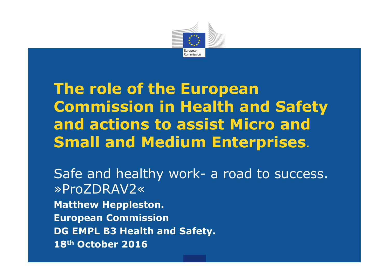

# The role of the European Commission in Health and Safety and actions to assist Micro and Small and Medium Enterprises.

Safe and healthy work- a road to success. »ProZDRAV2« Matthew Heppleston. European Commission DG EMPL B3 Health and Safety.18<sup>th</sup> October 2016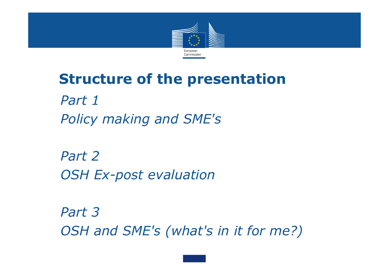

#### Structure of the presentation

 Part 1Policy making and SME's

 Part 2OSH Ex-post evaluation

 Part 3 OSH and SME's (what's in it for me?)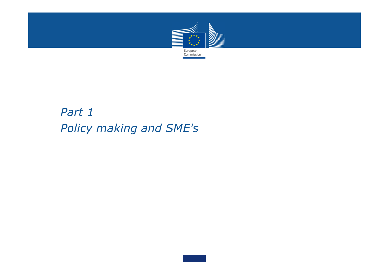

#### Part 1Policy making and SME's

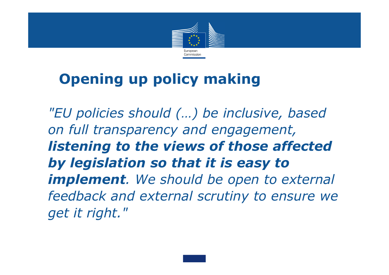

# Opening up policy making

"EU policies should (…) be inclusive, based on full transparency and engagement, listening to the views of those affected by legislation so that it is easy to implement. We should be open to external feedback and external scrutiny to ensure we get it right."

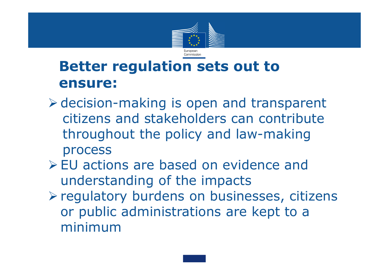

### Better regulation sets out to ensure:

- decision-making is open and transparent citizens and stakeholders can contribute throughout the policy and law-making process
- EU actions are based on evidence and<br>understanding of the impacts understanding of the impacts
- > regulatory burdens on businesses, citizens or public administrations are kept to a minimum

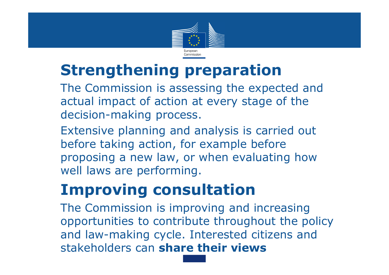

# Strengthening preparation

 The Commission is assessing the expected and actual impact of action at every stage of the decision-making process.

 Extensive planning and analysis is carried out before taking action, for example before proposing a new law, or when evaluating how well laws are performing.

# Improving consultation

The Commission is improving and increasing opportunities to contribute throughout the policy and law-making cycle. Interested citizens and stakeholders can share their views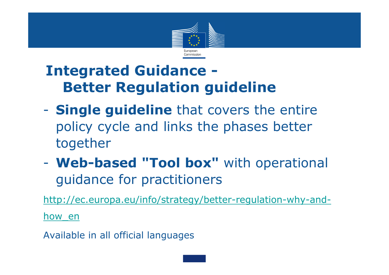

### Integrated Guidance -Better Regulation guideline

- $\mathcal{L}_{\mathcal{A}}$ - **Single guideline** that covers the entire policy cycle and links the phases better together
- $\mathcal{L}_{\mathcal{A}}$ - Web-based "Tool box" with operational guidance for practitioners

http://ec.europa.eu/info/strategy/better-regulation-why-and-

how\_en

Available in all official languages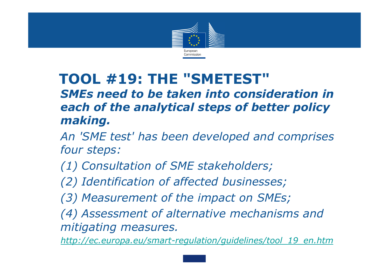

#### TOOL #19: THE "SMETEST" SMEs need to be taken into consideration in each of the analytical steps of better policy making.

- An 'SME test' has been developed and comprises four steps:
- (1) Consultation of SME stakeholders;
- (2) Identification of affected businesses;
- (3) Measurement of the impact on SMEs;
- (4) Assessment of alternative mechanisms and mitigating measures.

http://ec.europa.eu/smart-regulation/guidelines/tool 19 en.htm

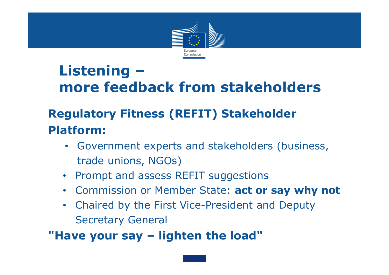

### Listening –more feedback from stakeholders

#### Regulatory Fitness (REFIT) Stakeholder Platform:

- Government experts and stakeholders (business, trade unions, NGOs)
- Prompt and assess REFIT suggestions
- Commission or Member State: act or say why not
- • Chaired by the First Vice-President and Deputy Secretary General

#### "Have your say – lighten the load"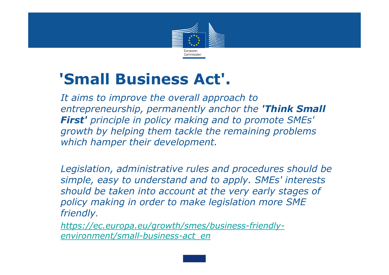

# 'Small Business Act'.

 It aims to improve the overall approach to entrepreneurship, permanently anchor the 'Think Small First' principle in policy making and to promote SMEs' growth by helping them tackle the remaining problems which hamper their development.

 Legislation, administrative rules and procedures should be simple, easy to understand and to apply. SMEs' interests should be taken into account at the very early stages of policy making in order to make legislation more SMEfriendly.

 https://ec.europa.eu/growth/smes/business-friendlyenvironment/small-business-act\_en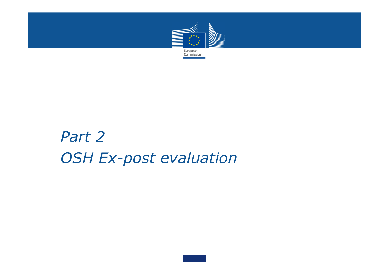

# Part 2OSH Ex-post evaluation

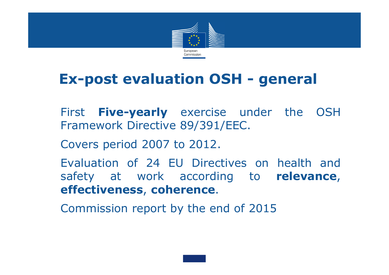

#### Ex-post evaluation OSH - general

- First **Five-yearly** exercise under the OSH<br>Framework Directive 89/391/FFC Framework Directive 89/391/EEC.
	- Covers period <sup>2007</sup> to 2012.
	- Evaluation of <sup>24</sup> EU Directives on health and safety at work according to relevance<br>effectiveness\_coherence ,effectiveness, coherence.

Commission report by the end of <sup>2015</sup>

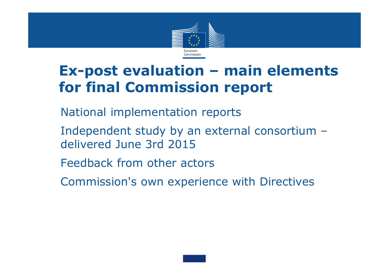

### Ex-post evaluation – main elements for final Commission report

- National implementation reports
- Independent study by an external consortium –delivered June 3rd 2015
- Feedback from other actors
- Commission's own experience with Directives

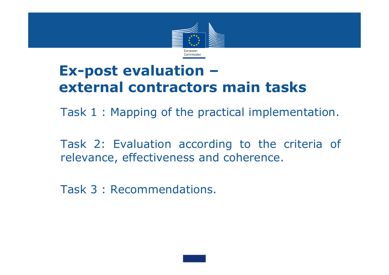

#### Ex-post evaluation –external contractors main tasks

Task <sup>1</sup> : Mapping of the practical implementation.

 Task 2: Evaluation according to the criteria of relevance, effectiveness and coherence.

Task 3 : Recommendations.

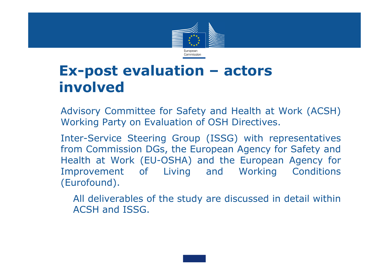

#### Ex-post evaluation – actors involved

 Advisory Committee for Safety and Health at Work (ACSH) Working Party on Evaluation of OSH Directives.

 Inter-Service Steering Group (ISSG) with representatives from Commission DGs, the European Agency for Safety and Health at Work (EU-OSHA) and the European Agency for Improvement of Living and (Eurofound).

 All deliverables of the study are discussed in detail within ACSH and ISSG.

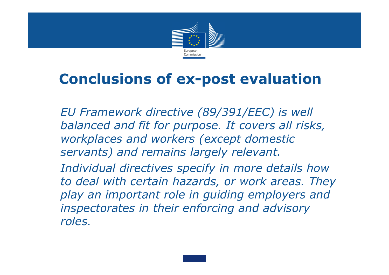

#### Conclusions of ex-post evaluation

 EU Framework directive (89/391/EEC) is well balanced and fit for purpose. It covers all risks, workplaces and workers (except domestic servants) and remains largely relevant. Individual directives specify in more details how to deal with certain hazards, or work areas. They

play an important role in guiding employers and inspectorates in their enforcing and advisory

roles.

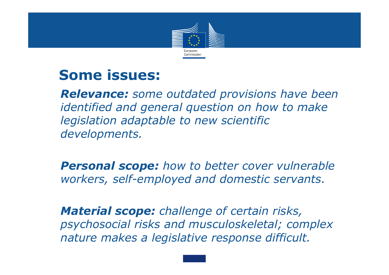

#### Some issues:

**Relevance:** some outdated provisions have been identified and general question on how to make legislation adaptable to new scientific developments.

**Personal scope:** how to better cover vulnerable workers, self-employed and domestic servants.

Material scope: challenge of certain risks, psychosocial risks and musculoskeletal; complex nature makes a legislative response difficult.

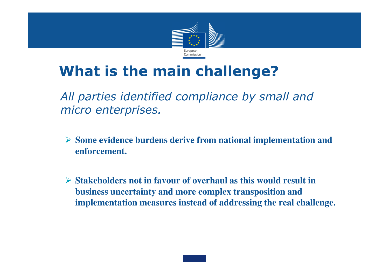

### What is the main challenge?

 All parties identified compliance by small and micro enterprises.

- **Some evidence burdens derive from national implementation and enforcement.**
- **Stakeholders not in favour of overhaul as this would result in business uncertainty and more complex transposition and implementation measures instead of addressing the real challenge.**

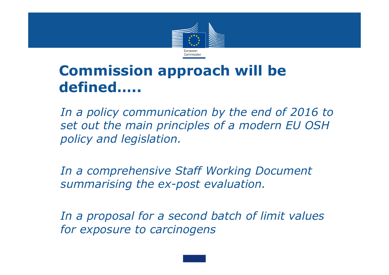

### Commission approach will be defined…..

 In a policy communication by the end of 2016 to set out the main principles of a modern EU OSH policy and legislation.

 In a comprehensive Staff Working Document summarising the ex-post evaluation.

 In a proposal for a second batch of limit values for exposure to carcinogens

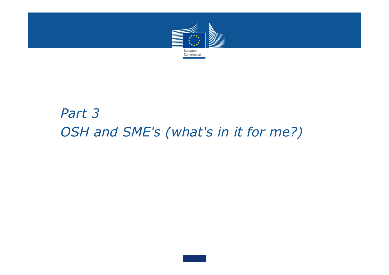

#### Part 3 OSH and SME's (what's in it for me?)

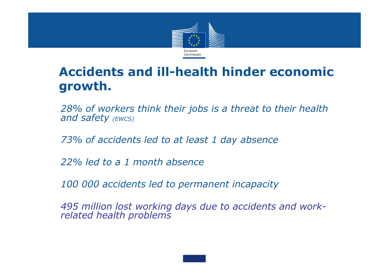

#### Accidents and ill-health hinder economic growth.

28% of workers think their jobs is a threat to their health and safety  $(EWCS)$ 

73% of accidents led to at least 1 day absence

22% led to a 1 month absence

100 000 accidents led to permanent incapacity

495 million lost working days due to accidents and work- related health problems

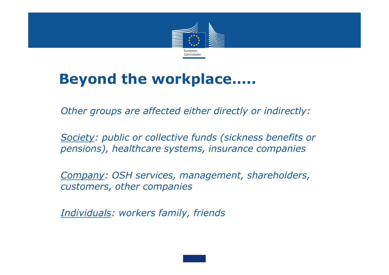

#### Beyond the workplace…..

Other groups are affected either directly or indirectly:

 Society: public or collective funds (sickness benefits or pensions), healthcare systems, insurance companies

 Company: OSH services, management, shareholders, customers, other companies

Individuals: workers family, friends

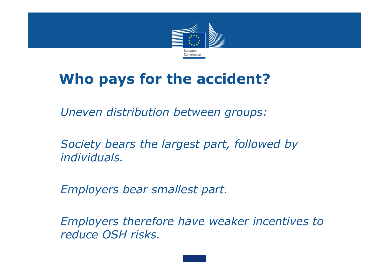

### Who pays for the accident?

Uneven distribution between groups:

 Society bears the largest part, followed by individuals.

Employers bear smallest part.

 Employers therefore have weaker incentives to reduce OSH risks.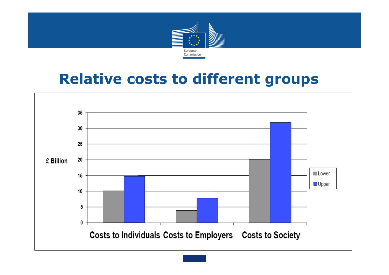

#### Relative costs to different groups

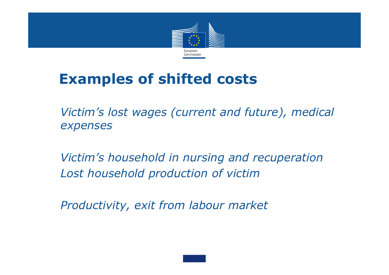

### Examples of shifted costs

 Victim's lost wages (current and future), medical expenses

 Victim's household in nursing and recuperationLost household production of victim

Productivity, exit from labour market

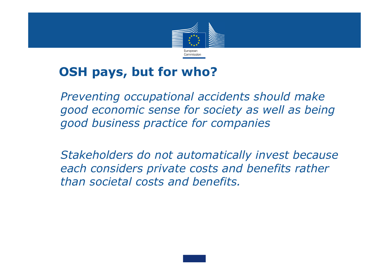

#### OSH pays, but for who?

 Preventing occupational accidents should make good economic sense for society as well as being good business practice for companies

 Stakeholders do not automatically invest because each considers private costs and benefits rather than societal costs and benefits.

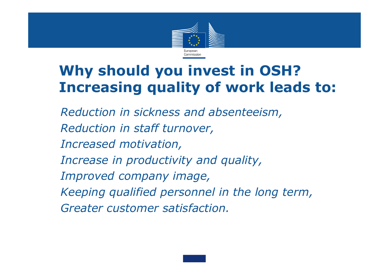

## Why should you invest in OSH?Increasing quality of work leads to:

 Reduction in sickness and absenteeism, Reduction in staff turnover, Increased motivation, Increase in productivity and quality, Improved company image, Keeping qualified personnel in the long term, Greater customer satisfaction.

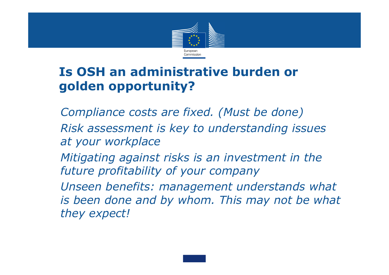

#### Is OSH an administrative burden or golden opportunity?

 Compliance costs are fixed. (Must be done) Risk assessment is key to understanding issues at your workplace

Mitigating against risks is an investment in the future profitability of your company

 Unseen benefits: management understands what is been done and by whom. This may not be what they expect!

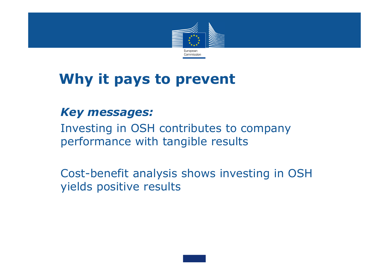

### Why it pays to prevent

#### Key messages:

 Investing in OSH contributes to company performance with tangible results

 Cost-benefit analysis shows investing in OSH yields positive results

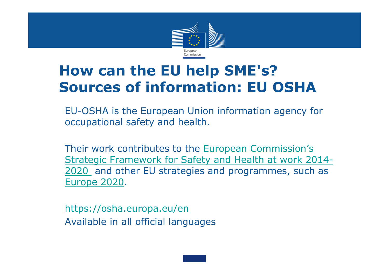

### How can the EU help SME's?Sources of information: EU OSHA

EU-OSHA is the European Union information agency for occupational safety and health.

Their work contributes to the European Commission's Strategic Framework for Safety and Health at work 2014-2020 and other EU strategies and programmes, such as Europe 2020.

https://osha.europa.eu/enAvailable in all official languages

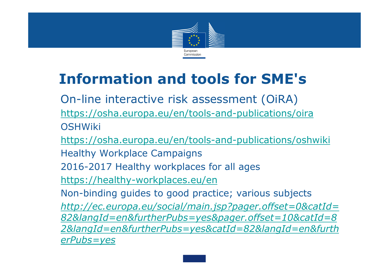

# Information and tools for SME's

 On-line interactive risk assessment (OiRA) https://osha.europa.eu/en/tools-and-publications/oira**OSHWiki** 

https://osha.europa.eu/en/tools-and-publications/oshwiki

Healthy Workplace Campaigns

2016-2017 Healthy workplaces for all ages

https://healthy-workplaces.eu/en

Non-binding guides to good practice; various subjects

 http://ec.europa.eu/social/main.jsp?pager.offset=0&catId= 82&langId=en&furtherPubs=yes&pager.offset=10&catId=8 2&langId=en&furtherPubs=yes&catId=82&langId=en&furtherPubs=yes

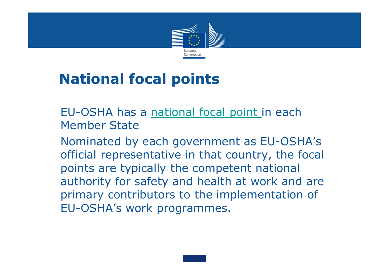

# National focal points

 EU-OSHA has a national focal point in each Member State

 Nominated by each government as EU-OSHA's official representative in that country, the focal points are typically the competent national authority for safety and health at work and are primary contributors to the implementation of EU-OSHA's work programmes.

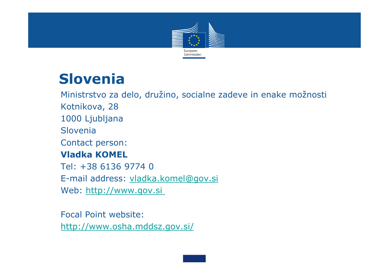

### Slovenia

 Ministrstvo za delo, družino, socialne zadeve in enake možnosti Kotnikova, 28 1000 Ljubljana Slovenia Contact person: Vladka KOMEL Tel: +38 6136 9774 0 E-mail address: vladka.komel@gov.si Web: http://www.gov.si

 Focal Point website: http://www.osha.mddsz.gov.si/